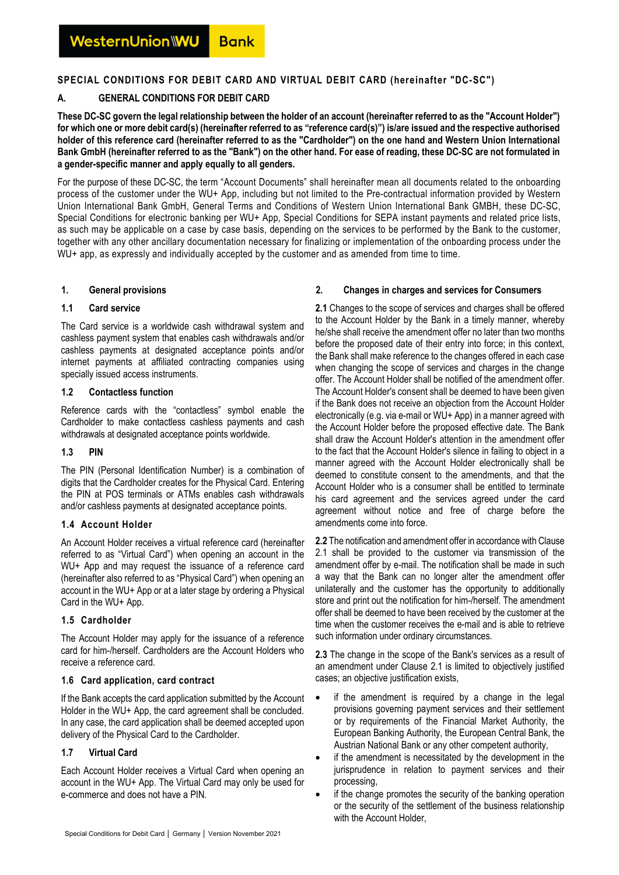## **SPECIAL CONDITIONS FOR DEBIT CARD AND VIRTUAL DEBIT CARD (hereinafter "DC-SC")**

## **A. GENERAL CONDITIONS FOR DEBIT CARD**

**These DC-SC govern the legal relationship between the holder of an account (hereinafter referred to as the "Account Holder") for which one or more debit card(s) (hereinafter referred to as "reference card(s)") is/are issued and the respective authorised holder of this reference card (hereinafter referred to as the "Cardholder") on the one hand and Western Union International Bank GmbH (hereinafter referred to as the "Bank") on the other hand. For ease of reading, these DC-SC are not formulated in a gender-specific manner and apply equally to all genders.** 

For the purpose of these DC-SC, the term "Account Documents" shall hereinafter mean all documents related to the onboarding process of the customer under the WU+ App, including but not limited to the Pre-contractual information provided by Western Union International Bank GmbH, General Terms and Conditions of Western Union International Bank GMBH, these DC-SC, Special Conditions for electronic banking per WU+ App, Special Conditions for SEPA instant payments and related price lists, as such may be applicable on a case by case basis, depending on the services to be performed by the Bank to the customer, together with any other ancillary documentation necessary for finalizing or implementation of the onboarding process under the WU+ app, as expressly and individually accepted by the customer and as amended from time to time.

## **1. General provisions**

## **1.1 Card service**

The Card service is a worldwide cash withdrawal system and cashless payment system that enables cash withdrawals and/or cashless payments at designated acceptance points and/or internet payments at affiliated contracting companies using specially issued access instruments.

#### **1.2 Contactless function**

Reference cards with the "contactless" symbol enable the Cardholder to make contactless cashless payments and cash withdrawals at designated acceptance points worldwide.

## **1.3 PIN**

The PIN (Personal Identification Number) is a combination of digits that the Cardholder creates for the Physical Card. Entering the PIN at POS terminals or ATMs enables cash withdrawals and/or cashless payments at designated acceptance points.

## **1.4 Account Holder**

An Account Holder receives a virtual reference card (hereinafter referred to as "Virtual Card") when opening an account in the WU+ App and may request the issuance of a reference card (hereinafter also referred to as "Physical Card") when opening an account in the WU+ App or at a later stage by ordering a Physical Card in the WU+ App.

## **1.5 Cardholder**

The Account Holder may apply for the issuance of a reference card for him-/herself. Cardholders are the Account Holders who receive a reference card.

## **1.6 Card application, card contract**

If the Bank accepts the card application submitted by the Account Holder in the WU+ App, the card agreement shall be concluded. In any case, the card application shall be deemed accepted upon delivery of the Physical Card to the Cardholder.

# **1.7 Virtual Card**

Each Account Holder receives a Virtual Card when opening an account in the WU+ App. The Virtual Card may only be used for e-commerce and does not have a PIN.

## **2. Changes in charges and services for Consumers**

**2.1** Changes to the scope of services and charges shall be offered to the Account Holder by the Bank in a timely manner, whereby he/she shall receive the amendment offer no later than two months before the proposed date of their entry into force; in this context, the Bank shall make reference to the changes offered in each case when changing the scope of services and charges in the change offer. The Account Holder shall be notified of the amendment offer. The Account Holder's consent shall be deemed to have been given if the Bank does not receive an objection from the Account Holder electronically (e.g. via e-mail or WU+ App) in a manner agreed with the Account Holder before the proposed effective date. The Bank shall draw the Account Holder's attention in the amendment offer to the fact that the Account Holder's silence in failing to object in a manner agreed with the Account Holder electronically shall be deemed to constitute consent to the amendments, and that the Account Holder who is a consumer shall be entitled to terminate his card agreement and the services agreed under the card agreement without notice and free of charge before the amendments come into force.

**2.2** The notification and amendment offer in accordance with Clause 2.1 shall be provided to the customer via transmission of the amendment offer by e-mail. The notification shall be made in such a way that the Bank can no longer alter the amendment offer unilaterally and the customer has the opportunity to additionally store and print out the notification for him-/herself. The amendment offer shall be deemed to have been received by the customer at the time when the customer receives the e-mail and is able to retrieve such information under ordinary circumstances.

**2.3** The change in the scope of the Bank's services as a result of an amendment under Clause 2.1 is limited to objectively justified cases; an objective justification exists,

- if the amendment is required by a change in the legal provisions governing payment services and their settlement or by requirements of the Financial Market Authority, the European Banking Authority, the European Central Bank, the Austrian National Bank or any other competent authority,
- if the amendment is necessitated by the development in the jurisprudence in relation to payment services and their processing,
- if the change promotes the security of the banking operation or the security of the settlement of the business relationship with the Account Holder,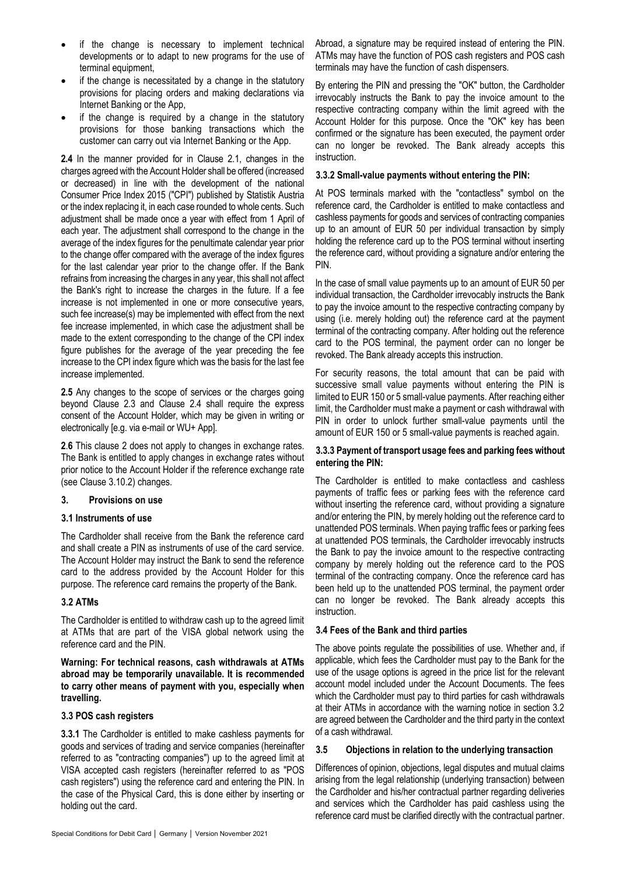- if the change is necessary to implement technical developments or to adapt to new programs for the use of terminal equipment,
- if the change is necessitated by a change in the statutory provisions for placing orders and making declarations via Internet Banking or the App,
- if the change is required by a change in the statutory provisions for those banking transactions which the customer can carry out via Internet Banking or the App.

**2.4** In the manner provided for in Clause 2.1, changes in the charges agreed with the Account Holder shall be offered (increased or decreased) in line with the development of the national Consumer Price Index 2015 ("CPI") published by Statistik Austria or the index replacing it, in each case rounded to whole cents. Such adjustment shall be made once a year with effect from 1 April of each year. The adjustment shall correspond to the change in the average of the index figures for the penultimate calendar year prior to the change offer compared with the average of the index figures for the last calendar year prior to the change offer. If the Bank refrains from increasing the charges in any year, this shall not affect the Bank's right to increase the charges in the future. If a fee increase is not implemented in one or more consecutive years, such fee increase(s) may be implemented with effect from the next fee increase implemented, in which case the adjustment shall be made to the extent corresponding to the change of the CPI index figure publishes for the average of the year preceding the fee increase to the CPI index figure which was the basis for the last fee increase implemented.

**2.5** Any changes to the scope of services or the charges going beyond Clause 2.3 and Clause 2.4 shall require the express consent of the Account Holder, which may be given in writing or electronically [e.g. via e-mail or WU+ App].

**2**.**6** This clause 2 does not apply to changes in exchange rates. The Bank is entitled to apply changes in exchange rates without prior notice to the Account Holder if the reference exchange rate (see Clause 3.10.2) changes.

## **3. Provisions on use**

## **3.1 Instruments of use**

The Cardholder shall receive from the Bank the reference card and shall create a PIN as instruments of use of the card service. The Account Holder may instruct the Bank to send the reference card to the address provided by the Account Holder for this purpose. The reference card remains the property of the Bank.

## **3.2 ATMs**

The Cardholder is entitled to withdraw cash up to the agreed limit at ATMs that are part of the VISA global network using the reference card and the PIN.

**Warning: For technical reasons, cash withdrawals at ATMs abroad may be temporarily unavailable. It is recommended to carry other means of payment with you, especially when travelling.** 

## **3.3 POS cash registers**

**3.3.1** The Cardholder is entitled to make cashless payments for goods and services of trading and service companies (hereinafter referred to as "contracting companies") up to the agreed limit at VISA accepted cash registers (hereinafter referred to as "POS cash registers") using the reference card and entering the PIN. In the case of the Physical Card, this is done either by inserting or holding out the card.

Abroad, a signature may be required instead of entering the PIN. ATMs may have the function of POS cash registers and POS cash terminals may have the function of cash dispensers.

By entering the PIN and pressing the "OK" button, the Cardholder irrevocably instructs the Bank to pay the invoice amount to the respective contracting company within the limit agreed with the Account Holder for this purpose. Once the "OK" key has been confirmed or the signature has been executed, the payment order can no longer be revoked. The Bank already accepts this instruction.

## **3.3.2 Small-value payments without entering the PIN:**

At POS terminals marked with the "contactless" symbol on the reference card, the Cardholder is entitled to make contactless and cashless payments for goods and services of contracting companies up to an amount of EUR 50 per individual transaction by simply holding the reference card up to the POS terminal without inserting the reference card, without providing a signature and/or entering the PIN.

In the case of small value payments up to an amount of EUR 50 per individual transaction, the Cardholder irrevocably instructs the Bank to pay the invoice amount to the respective contracting company by using (i.e. merely holding out) the reference card at the payment terminal of the contracting company. After holding out the reference card to the POS terminal, the payment order can no longer be revoked. The Bank already accepts this instruction.

For security reasons, the total amount that can be paid with successive small value payments without entering the PIN is limited to EUR 150 or 5 small-value payments. After reaching either limit, the Cardholder must make a payment or cash withdrawal with PIN in order to unlock further small-value payments until the amount of EUR 150 or 5 small-value payments is reached again.

## **3.3.3 Payment of transport usage fees and parking fees without entering the PIN:**

The Cardholder is entitled to make contactless and cashless payments of traffic fees or parking fees with the reference card without inserting the reference card, without providing a signature and/or entering the PIN, by merely holding out the reference card to unattended POS terminals. When paying traffic fees or parking fees at unattended POS terminals, the Cardholder irrevocably instructs the Bank to pay the invoice amount to the respective contracting company by merely holding out the reference card to the POS terminal of the contracting company. Once the reference card has been held up to the unattended POS terminal, the payment order can no longer be revoked. The Bank already accepts this instruction.

## **3.4 Fees of the Bank and third parties**

The above points regulate the possibilities of use. Whether and, if applicable, which fees the Cardholder must pay to the Bank for the use of the usage options is agreed in the price list for the relevant account model included under the Account Documents. The fees which the Cardholder must pay to third parties for cash withdrawals at their ATMs in accordance with the warning notice in section 3.2 are agreed between the Cardholder and the third party in the context of a cash withdrawal.

## **3.5 Objections in relation to the underlying transaction**

Differences of opinion, objections, legal disputes and mutual claims arising from the legal relationship (underlying transaction) between the Cardholder and his/her contractual partner regarding deliveries and services which the Cardholder has paid cashless using the reference card must be clarified directly with the contractual partner.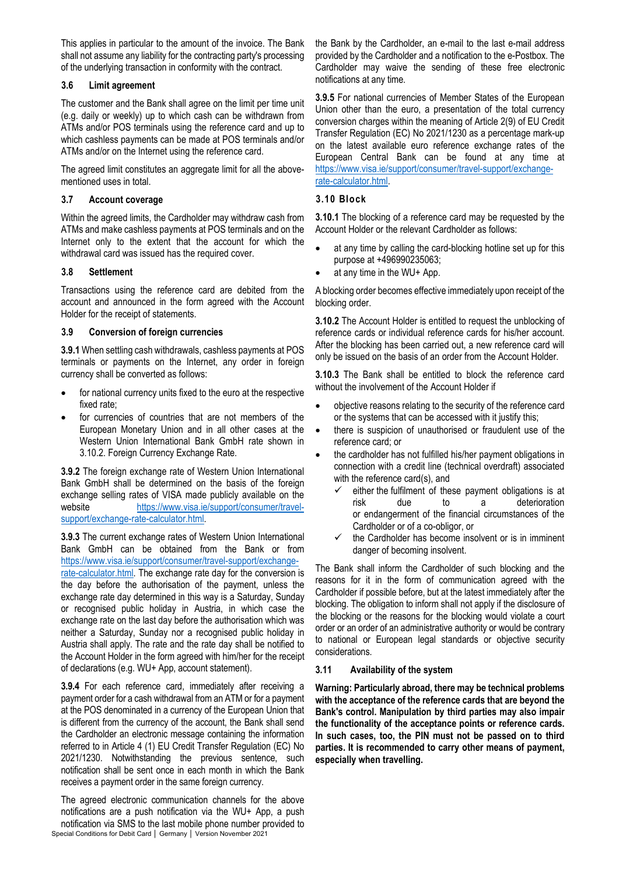This applies in particular to the amount of the invoice. The Bank shall not assume any liability for the contracting party's processing of the underlying transaction in conformity with the contract.

## **3.6 Limit agreement**

The customer and the Bank shall agree on the limit per time unit (e.g. daily or weekly) up to which cash can be withdrawn from ATMs and/or POS terminals using the reference card and up to which cashless payments can be made at POS terminals and/or ATMs and/or on the Internet using the reference card.

The agreed limit constitutes an aggregate limit for all the abovementioned uses in total.

## **3.7 Account coverage**

Within the agreed limits, the Cardholder may withdraw cash from ATMs and make cashless payments at POS terminals and on the Internet only to the extent that the account for which the withdrawal card was issued has the required cover.

## **3.8 Settlement**

Transactions using the reference card are debited from the account and announced in the form agreed with the Account Holder for the receipt of statements.

## **3.9 Conversion of foreign currencies**

**3.9.1** When settling cash withdrawals, cashless payments at POS terminals or payments on the Internet, any order in foreign currency shall be converted as follows:

- for national currency units fixed to the euro at the respective fixed rate;
- for currencies of countries that are not members of the European Monetary Union and in all other cases at the Western Union International Bank GmbH rate shown in 3.10.2. Foreign Currency Exchange Rate.

**3.9.2** The foreign exchange rate of Western Union International Bank GmbH shall be determined on the basis of the foreign exchange selling rates of VISA made publicly available on the website [https://www.visa.ie/support/consumer/travel](https://www.visa.ie/support/consumer/travel-support/exchange-rate-calculator.html)[support/exchange-rate-calculator.html.](https://www.visa.ie/support/consumer/travel-support/exchange-rate-calculator.html)

**3.9.3** The current exchange rates of Western Union International Bank GmbH can be obtained from the Bank or from https://www.visa.ie/support/consumer/travel-support/exchangerate-calculator.html. The exchange rate day for the conversion is the day before the authorisation of the payment, unless the exchange rate day determined in this way is a Saturday, Sunday or recognised public holiday in Austria, in which case the exchange rate on the last day before the authorisation which was neither a Saturday, Sunday nor a recognised public holiday in Austria shall apply. The rate and the rate day shall be notified to the Account Holder in the form agreed with him/her for the receipt of declarations (e.g. WU+ App, account statement).

**3.9.4** For each reference card, immediately after receiving a payment order for a cash withdrawal from an ATM or for a payment at the POS denominated in a currency of the European Union that is different from the currency of the account, the Bank shall send the Cardholder an electronic message containing the information referred to in Article 4 (1) EU Credit Transfer Regulation (EC) No 2021/1230. Notwithstanding the previous sentence, such notification shall be sent once in each month in which the Bank receives a payment order in the same foreign currency.

Special Conditions for Debit Card │ Germany │ Version November 2021 The agreed electronic communication channels for the above notifications are a push notification via the WU+ App, a push notification via SMS to the last mobile phone number provided to the Bank by the Cardholder, an e-mail to the last e-mail address provided by the Cardholder and a notification to the e-Postbox. The Cardholder may waive the sending of these free electronic notifications at any time.

**3.9.5** For national currencies of Member States of the European Union other than the euro, a presentation of the total currency conversion charges within the meaning of Article 2(9) of EU Credit Transfer Regulation (EC) No 2021/1230 as a percentage mark-up on the latest available euro reference exchange rates of the European Central Bank can be found at any time at https://www.visa.ie/support/consumer/travel-support/exchangerate-calculator.html.

# **3.10 Block**

**3.10.1** The blocking of a reference card may be requested by the Account Holder or the relevant Cardholder as follows:

- at any time by calling the card-blocking hotline set up for this purpose at +496990235063;
- at any time in the WU+ App.

A blocking order becomes effective immediately upon receipt of the blocking order.

**3.10.2** The Account Holder is entitled to request the unblocking of reference cards or individual reference cards for his/her account. After the blocking has been carried out, a new reference card will only be issued on the basis of an order from the Account Holder.

**3.10.3** The Bank shall be entitled to block the reference card without the involvement of the Account Holder if

- objective reasons relating to the security of the reference card or the systems that can be accessed with it justify this;
- there is suspicion of unauthorised or fraudulent use of the reference card; or
- the cardholder has not fulfilled his/her payment obligations in connection with a credit line (technical overdraft) associated with the reference card(s), and
	- either the fulfilment of these payment obligations is at risk due to a deterioration or endangerment of the financial circumstances of the Cardholder or of a co-obligor, or
	- $\checkmark$  the Cardholder has become insolvent or is in imminent danger of becoming insolvent.

The Bank shall inform the Cardholder of such blocking and the reasons for it in the form of communication agreed with the Cardholder if possible before, but at the latest immediately after the blocking. The obligation to inform shall not apply if the disclosure of the blocking or the reasons for the blocking would violate a court order or an order of an administrative authority or would be contrary to national or European legal standards or objective security considerations.

## **3.11 Availability of the system**

**Warning: Particularly abroad, there may be technical problems with the acceptance of the reference cards that are beyond the Bank's control. Manipulation by third parties may also impair the functionality of the acceptance points or reference cards. In such cases, too, the PIN must not be passed on to third parties. It is recommended to carry other means of payment, especially when travelling.**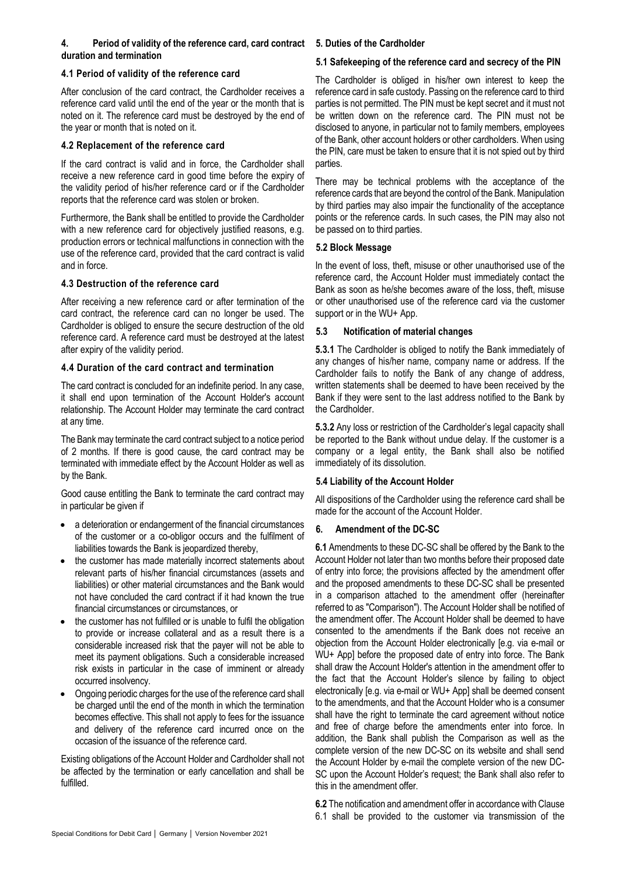# **4. Period of validity of the reference card, card contract 5. Duties of the Cardholder duration and termination**

## **4.1 Period of validity of the reference card**

After conclusion of the card contract, the Cardholder receives a reference card valid until the end of the year or the month that is noted on it. The reference card must be destroyed by the end of the year or month that is noted on it.

## **4.2 Replacement of the reference card**

If the card contract is valid and in force, the Cardholder shall receive a new reference card in good time before the expiry of the validity period of his/her reference card or if the Cardholder reports that the reference card was stolen or broken.

Furthermore, the Bank shall be entitled to provide the Cardholder with a new reference card for objectively justified reasons, e.g. production errors or technical malfunctions in connection with the use of the reference card, provided that the card contract is valid and in force.

# **4.3 Destruction of the reference card**

After receiving a new reference card or after termination of the card contract, the reference card can no longer be used. The Cardholder is obliged to ensure the secure destruction of the old reference card. A reference card must be destroyed at the latest after expiry of the validity period.

## **4.4 Duration of the card contract and termination**

The card contract is concluded for an indefinite period. In any case, it shall end upon termination of the Account Holder's account relationship. The Account Holder may terminate the card contract at any time.

The Bank may terminate the card contract subject to a notice period of 2 months. If there is good cause, the card contract may be terminated with immediate effect by the Account Holder as well as by the Bank.

Good cause entitling the Bank to terminate the card contract may in particular be given if

- a deterioration or endangerment of the financial circumstances of the customer or a co-obligor occurs and the fulfilment of liabilities towards the Bank is jeopardized thereby,
- the customer has made materially incorrect statements about relevant parts of his/her financial circumstances (assets and liabilities) or other material circumstances and the Bank would not have concluded the card contract if it had known the true financial circumstances or circumstances, or
- the customer has not fulfilled or is unable to fulfil the obligation to provide or increase collateral and as a result there is a considerable increased risk that the payer will not be able to meet its payment obligations. Such a considerable increased risk exists in particular in the case of imminent or already occurred insolvency.
- Ongoing periodic charges for the use of the reference card shall be charged until the end of the month in which the termination becomes effective. This shall not apply to fees for the issuance and delivery of the reference card incurred once on the occasion of the issuance of the reference card.

Existing obligations of the Account Holder and Cardholder shall not be affected by the termination or early cancellation and shall be fulfilled.

## **5.1 Safekeeping of the reference card and secrecy of the PIN**

The Cardholder is obliged in his/her own interest to keep the reference card in safe custody. Passing on the reference card to third parties is not permitted. The PIN must be kept secret and it must not be written down on the reference card. The PIN must not be disclosed to anyone, in particular not to family members, employees of the Bank, other account holders or other cardholders. When using the PIN, care must be taken to ensure that it is not spied out by third parties.

There may be technical problems with the acceptance of the reference cards that are beyond the control of the Bank. Manipulation by third parties may also impair the functionality of the acceptance points or the reference cards. In such cases, the PIN may also not be passed on to third parties.

## **5.2 Block Message**

In the event of loss, theft, misuse or other unauthorised use of the reference card, the Account Holder must immediately contact the Bank as soon as he/she becomes aware of the loss, theft, misuse or other unauthorised use of the reference card via the customer support or in the WU+ App.

## **5.3 Notification of material changes**

**5.3.1** The Cardholder is obliged to notify the Bank immediately of any changes of his/her name, company name or address. If the Cardholder fails to notify the Bank of any change of address, written statements shall be deemed to have been received by the Bank if they were sent to the last address notified to the Bank by the Cardholder.

**5.3.2** Any loss or restriction of the Cardholder's legal capacity shall be reported to the Bank without undue delay. If the customer is a company or a legal entity, the Bank shall also be notified immediately of its dissolution.

# **5.4 Liability of the Account Holder**

All dispositions of the Cardholder using the reference card shall be made for the account of the Account Holder.

# **6. Amendment of the DC-SC**

**6.1** Amendments to these DC-SC shall be offered by the Bank to the Account Holder not later than two months before their proposed date of entry into force; the provisions affected by the amendment offer and the proposed amendments to these DC-SC shall be presented in a comparison attached to the amendment offer (hereinafter referred to as "Comparison"). The Account Holder shall be notified of the amendment offer. The Account Holder shall be deemed to have consented to the amendments if the Bank does not receive an objection from the Account Holder electronically [e.g. via e-mail or WU+ App] before the proposed date of entry into force. The Bank shall draw the Account Holder's attention in the amendment offer to the fact that the Account Holder's silence by failing to object electronically [e.g. via e-mail or WU+ App] shall be deemed consent to the amendments, and that the Account Holder who is a consumer shall have the right to terminate the card agreement without notice and free of charge before the amendments enter into force. In addition, the Bank shall publish the Comparison as well as the complete version of the new DC-SC on its website and shall send the Account Holder by e-mail the complete version of the new DC-SC upon the Account Holder's request; the Bank shall also refer to this in the amendment offer.

**6.2** The notification and amendment offer in accordance with Clause 6.1 shall be provided to the customer via transmission of the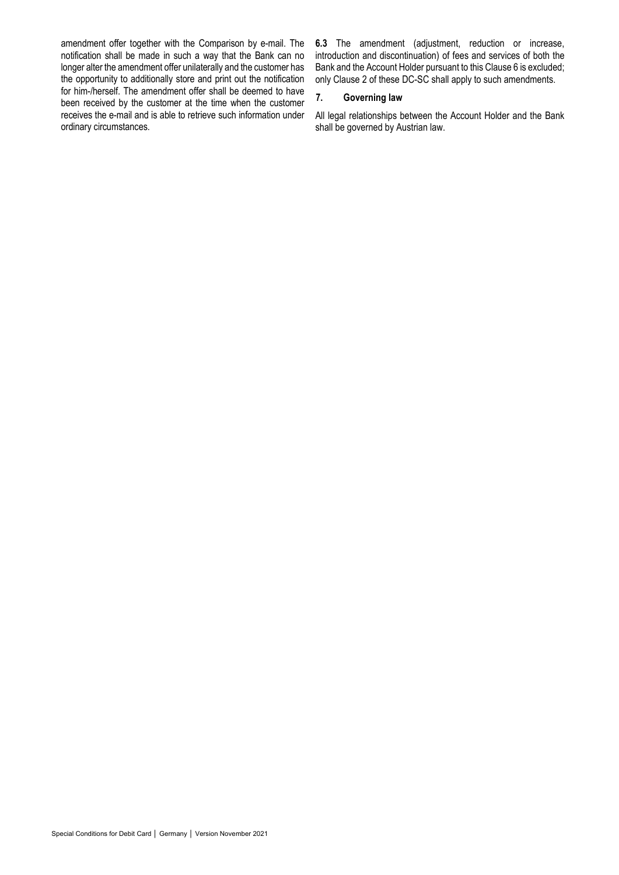amendment offer together with the Comparison by e-mail. The notification shall be made in such a way that the Bank can no longer alter the amendment offer unilaterally and the customer has the opportunity to additionally store and print out the notification for him-/herself. The amendment offer shall be deemed to have been received by the customer at the time when the customer receives the e-mail and is able to retrieve such information under ordinary circumstances.

**6.3** The amendment (adjustment, reduction or increase, introduction and discontinuation) of fees and services of both the Bank and the Account Holder pursuant to this Clause 6 is excluded; only Clause 2 of these DC-SC shall apply to such amendments.

# **7. Governing law**

All legal relationships between the Account Holder and the Bank shall be governed by Austrian law.